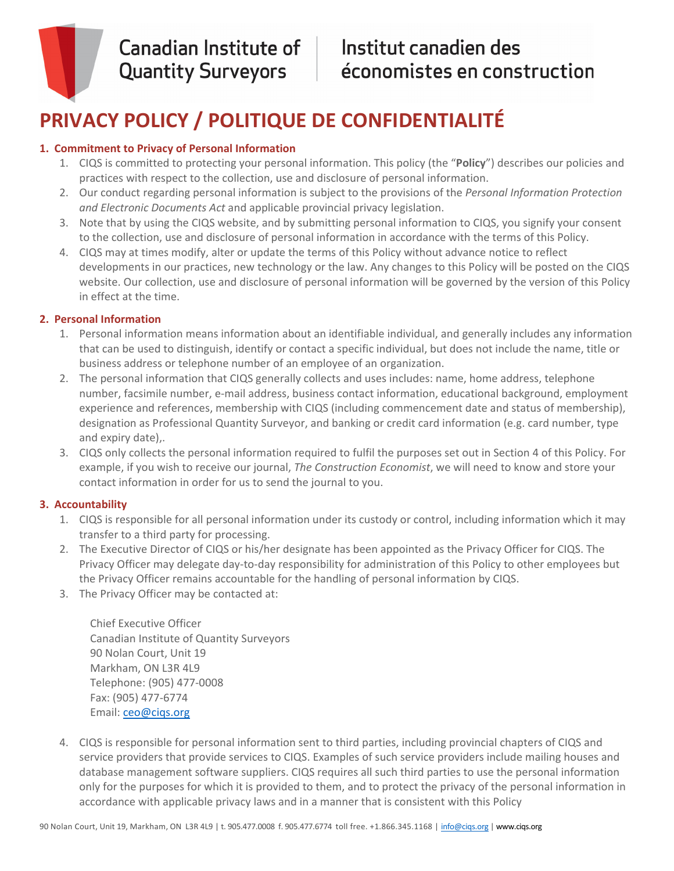

## Institut canadien des économistes en construction

# **PRIVACY POLICY / POLITIQUE DE CONFIDENTIALITÉ**

## **1. Commitment to Privacy of Personal Information**

- 1. CIQS is committed to protecting your personal information. This policy (the "**Policy**") describes our policies and practices with respect to the collection, use and disclosure of personal information.
- 2. Our conduct regarding personal information is subject to the provisions of the *Personal Information Protection and Electronic Documents Act* and applicable provincial privacy legislation.
- 3. Note that by using the CIQS website, and by submitting personal information to CIQS, you signify your consent to the collection, use and disclosure of personal information in accordance with the terms of this Policy.
- 4. CIQS may at times modify, alter or update the terms of this Policy without advance notice to reflect developments in our practices, new technology or the law. Any changes to this Policy will be posted on the CIQS website. Our collection, use and disclosure of personal information will be governed by the version of this Policy in effect at the time.

## **2. Personal Information**

- 1. Personal information means information about an identifiable individual, and generally includes any information that can be used to distinguish, identify or contact a specific individual, but does not include the name, title or business address or telephone number of an employee of an organization.
- 2. The personal information that CIQS generally collects and uses includes: name, home address, telephone number, facsimile number, e-mail address, business contact information, educational background, employment experience and references, membership with CIQS (including commencement date and status of membership), designation as Professional Quantity Surveyor, and banking or credit card information (e.g. card number, type and expiry date),.
- 3. CIQS only collects the personal information required to fulfil the purposes set out in Section 4 of this Policy. For example, if you wish to receive our journal, *The Construction Economist*, we will need to know and store your contact information in order for us to send the journal to you.

## **3. Accountability**

- 1. CIQS is responsible for all personal information under its custody or control, including information which it may transfer to a third party for processing.
- 2. The Executive Director of CIQS or his/her designate has been appointed as the Privacy Officer for CIQS. The Privacy Officer may delegate day‐to‐day responsibility for administration of this Policy to other employees but the Privacy Officer remains accountable for the handling of personal information by CIQS.
- 3. The Privacy Officer may be contacted at:

 Chief Executive Officer Canadian Institute of Quantity Surveyors 90 Nolan Court, Unit 19 Markham, ON L3R 4L9 Telephone: (905) 477‐0008 Fax: (905) 477‐6774 Email: ceo@ciqs.org

4. CIQS is responsible for personal information sent to third parties, including provincial chapters of CIQS and service providers that provide services to CIQS. Examples of such service providers include mailing houses and database management software suppliers. CIQS requires all such third parties to use the personal information only for the purposes for which it is provided to them, and to protect the privacy of the personal information in accordance with applicable privacy laws and in a manner that is consistent with this Policy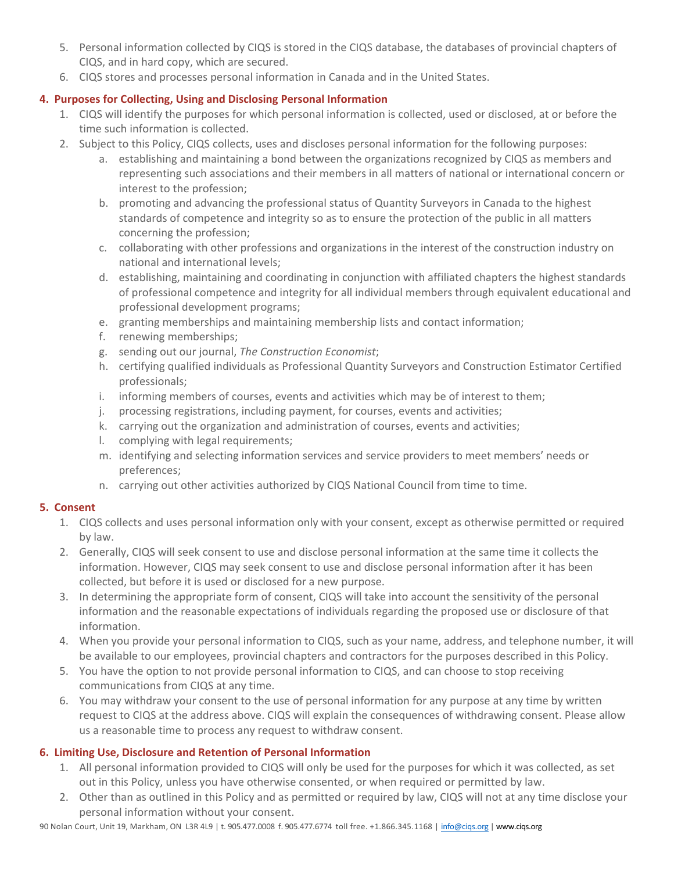- 5. Personal information collected by CIQS is stored in the CIQS database, the databases of provincial chapters of CIQS, and in hard copy, which are secured.
- 6. CIQS stores and processes personal information in Canada and in the United States.

## **4. Purposes for Collecting, Using and Disclosing Personal Information**

- 1. CIQS will identify the purposes for which personal information is collected, used or disclosed, at or before the time such information is collected.
- 2. Subject to this Policy, CIQS collects, uses and discloses personal information for the following purposes:
	- a. establishing and maintaining a bond between the organizations recognized by CIQS as members and representing such associations and their members in all matters of national or international concern or interest to the profession;
	- b. promoting and advancing the professional status of Quantity Surveyors in Canada to the highest standards of competence and integrity so as to ensure the protection of the public in all matters concerning the profession;
	- c. collaborating with other professions and organizations in the interest of the construction industry on national and international levels;
	- d. establishing, maintaining and coordinating in conjunction with affiliated chapters the highest standards of professional competence and integrity for all individual members through equivalent educational and professional development programs;
	- e. granting memberships and maintaining membership lists and contact information;
	- f. renewing memberships;
	- g. sending out our journal, *The Construction Economist*;
	- h. certifying qualified individuals as Professional Quantity Surveyors and Construction Estimator Certified professionals;
	- i. informing members of courses, events and activities which may be of interest to them;
	- j. processing registrations, including payment, for courses, events and activities;
	- k. carrying out the organization and administration of courses, events and activities;
	- l. complying with legal requirements;
	- m. identifying and selecting information services and service providers to meet members' needs or preferences;
	- n. carrying out other activities authorized by CIQS National Council from time to time.

## **5. Consent**

- 1. CIQS collects and uses personal information only with your consent, except as otherwise permitted or required by law.
- 2. Generally, CIQS will seek consent to use and disclose personal information at the same time it collects the information. However, CIQS may seek consent to use and disclose personal information after it has been collected, but before it is used or disclosed for a new purpose.
- 3. In determining the appropriate form of consent, CIQS will take into account the sensitivity of the personal information and the reasonable expectations of individuals regarding the proposed use or disclosure of that information.
- 4. When you provide your personal information to CIQS, such as your name, address, and telephone number, it will be available to our employees, provincial chapters and contractors for the purposes described in this Policy.
- 5. You have the option to not provide personal information to CIQS, and can choose to stop receiving communications from CIQS at any time.
- 6. You may withdraw your consent to the use of personal information for any purpose at any time by written request to CIQS at the address above. CIQS will explain the consequences of withdrawing consent. Please allow us a reasonable time to process any request to withdraw consent.

## **6. Limiting Use, Disclosure and Retention of Personal Information**

- 1. All personal information provided to CIQS will only be used for the purposes for which it was collected, as set out in this Policy, unless you have otherwise consented, or when required or permitted by law.
- 2. Other than as outlined in this Policy and as permitted or required by law, CIQS will not at any time disclose your personal information without your consent.

90 Nolan Court, Unit 19, Markham, ON L3R 4L9 | t. 905.477.0008 f. 905.477.6774 toll free. +1.866.345.1168 | info@ciqs.org | www.ciqs.org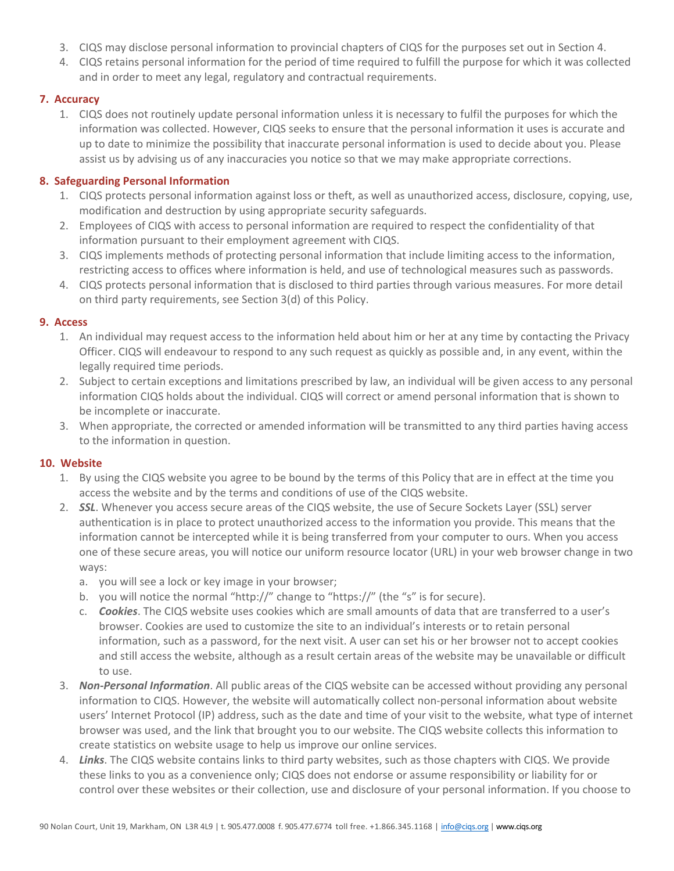- 3. CIQS may disclose personal information to provincial chapters of CIQS for the purposes set out in Section 4.
- 4. CIQS retains personal information for the period of time required to fulfill the purpose for which it was collected and in order to meet any legal, regulatory and contractual requirements.

#### **7. Accuracy**

1. CIQS does not routinely update personal information unless it is necessary to fulfil the purposes for which the information was collected. However, CIQS seeks to ensure that the personal information it uses is accurate and up to date to minimize the possibility that inaccurate personal information is used to decide about you. Please assist us by advising us of any inaccuracies you notice so that we may make appropriate corrections.

#### **8. Safeguarding Personal Information**

- 1. CIQS protects personal information against loss or theft, as well as unauthorized access, disclosure, copying, use, modification and destruction by using appropriate security safeguards.
- 2. Employees of CIQS with access to personal information are required to respect the confidentiality of that information pursuant to their employment agreement with CIQS.
- 3. CIQS implements methods of protecting personal information that include limiting access to the information, restricting access to offices where information is held, and use of technological measures such as passwords.
- 4. CIQS protects personal information that is disclosed to third parties through various measures. For more detail on third party requirements, see Section 3(d) of this Policy.

#### **9. Access**

- 1. An individual may request access to the information held about him or her at any time by contacting the Privacy Officer. CIQS will endeavour to respond to any such request as quickly as possible and, in any event, within the legally required time periods.
- 2. Subject to certain exceptions and limitations prescribed by law, an individual will be given access to any personal information CIQS holds about the individual. CIQS will correct or amend personal information that is shown to be incomplete or inaccurate.
- 3. When appropriate, the corrected or amended information will be transmitted to any third parties having access to the information in question.

#### **10. Website**

- 1. By using the CIQS website you agree to be bound by the terms of this Policy that are in effect at the time you access the website and by the terms and conditions of use of the CIQS website.
- 2. *SSL*. Whenever you access secure areas of the CIQS website, the use of Secure Sockets Layer (SSL) server authentication is in place to protect unauthorized access to the information you provide. This means that the information cannot be intercepted while it is being transferred from your computer to ours. When you access one of these secure areas, you will notice our uniform resource locator (URL) in your web browser change in two ways:
	- a. you will see a lock or key image in your browser;
	- b. you will notice the normal "http://" change to "https://" (the "s" is for secure).
	- c. *Cookies*. The CIQS website uses cookies which are small amounts of data that are transferred to a user's browser. Cookies are used to customize the site to an individual's interests or to retain personal information, such as a password, for the next visit. A user can set his or her browser not to accept cookies and still access the website, although as a result certain areas of the website may be unavailable or difficult to use.
- 3. *Non‐Personal Information*. All public areas of the CIQS website can be accessed without providing any personal information to CIQS. However, the website will automatically collect non-personal information about website users' Internet Protocol (IP) address, such as the date and time of your visit to the website, what type of internet browser was used, and the link that brought you to our website. The CIQS website collects this information to create statistics on website usage to help us improve our online services.
- 4. *Links*. The CIQS website contains links to third party websites, such as those chapters with CIQS. We provide these links to you as a convenience only; CIQS does not endorse or assume responsibility or liability for or control over these websites or their collection, use and disclosure of your personal information. If you choose to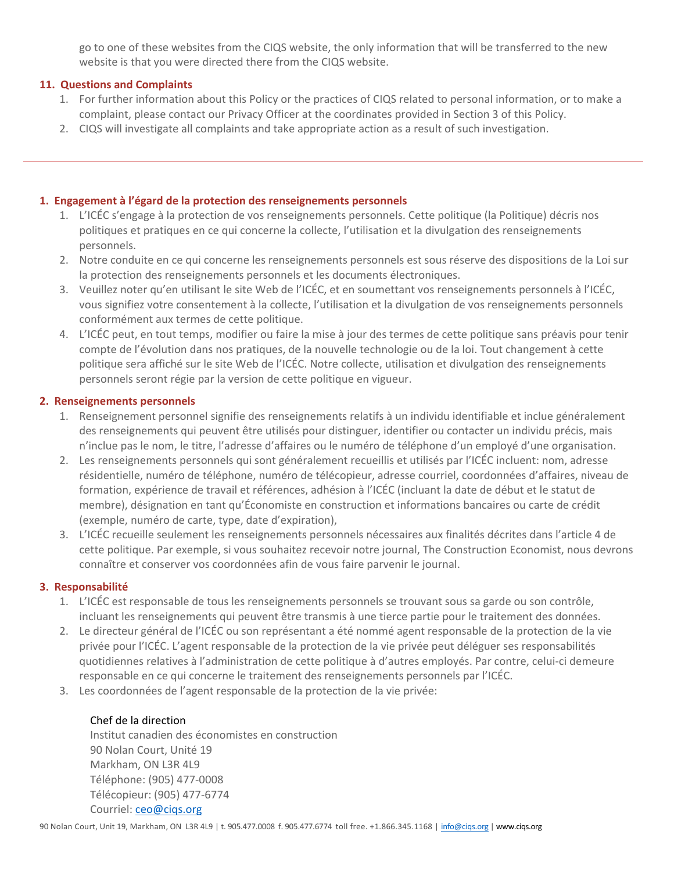go to one of these websites from the CIQS website, the only information that will be transferred to the new website is that you were directed there from the CIQS website.

#### **11. Questions and Complaints**

- 1. For further information about this Policy or the practices of CIQS related to personal information, or to make a complaint, please contact our Privacy Officer at the coordinates provided in Section 3 of this Policy.
- 2. CIQS will investigate all complaints and take appropriate action as a result of such investigation.

#### **1. Engagement à l'égard de la protection des renseignements personnels**

- 1. L'ICÉC s'engage à la protection de vos renseignements personnels. Cette politique (la Politique) décris nos politiques et pratiques en ce qui concerne la collecte, l'utilisation et la divulgation des renseignements personnels.
- 2. Notre conduite en ce qui concerne les renseignements personnels est sous réserve des dispositions de la Loi sur la protection des renseignements personnels et les documents électroniques.
- 3. Veuillez noter qu'en utilisant le site Web de l'ICÉC, et en soumettant vos renseignements personnels à l'ICÉC, vous signifiez votre consentement à la collecte, l'utilisation et la divulgation de vos renseignements personnels conformément aux termes de cette politique.
- 4. L'ICÉC peut, en tout temps, modifier ou faire la mise à jour des termes de cette politique sans préavis pour tenir compte de l'évolution dans nos pratiques, de la nouvelle technologie ou de la loi. Tout changement à cette politique sera affiché sur le site Web de l'ICÉC. Notre collecte, utilisation et divulgation des renseignements personnels seront régie par la version de cette politique en vigueur.

#### **2. Renseignements personnels**

- 1. Renseignement personnel signifie des renseignements relatifs à un individu identifiable et inclue généralement des renseignements qui peuvent être utilisés pour distinguer, identifier ou contacter un individu précis, mais n'inclue pas le nom, le titre, l'adresse d'affaires ou le numéro de téléphone d'un employé d'une organisation.
- 2. Les renseignements personnels qui sont généralement recueillis et utilisés par l'ICÉC incluent: nom, adresse résidentielle, numéro de téléphone, numéro de télécopieur, adresse courriel, coordonnées d'affaires, niveau de formation, expérience de travail et références, adhésion à l'ICÉC (incluant la date de début et le statut de membre), désignation en tant qu'Économiste en construction et informations bancaires ou carte de crédit (exemple, numéro de carte, type, date d'expiration),
- 3. L'ICÉC recueille seulement les renseignements personnels nécessaires aux finalités décrites dans l'article 4 de cette politique. Par exemple, si vous souhaitez recevoir notre journal, The Construction Economist, nous devrons connaître et conserver vos coordonnées afin de vous faire parvenir le journal.

#### **3. Responsabilité**

- 1. L'ICÉC est responsable de tous les renseignements personnels se trouvant sous sa garde ou son contrôle, incluant les renseignements qui peuvent être transmis à une tierce partie pour le traitement des données.
- 2. Le directeur général de l'ICÉC ou son représentant a été nommé agent responsable de la protection de la vie privée pour l'ICÉC. L'agent responsable de la protection de la vie privée peut déléguer ses responsabilités quotidiennes relatives à l'administration de cette politique à d'autres employés. Par contre, celui‐ci demeure responsable en ce qui concerne le traitement des renseignements personnels par l'ICÉC.
- 3. Les coordonnées de l'agent responsable de la protection de la vie privée:

#### Chef de la direction

 Institut canadien des économistes en construction 90 Nolan Court, Unité 19 Markham, ON L3R 4L9 Téléphone: (905) 477‐0008 Télécopieur: (905) 477‐6774 Courriel: ceo@ciqs.org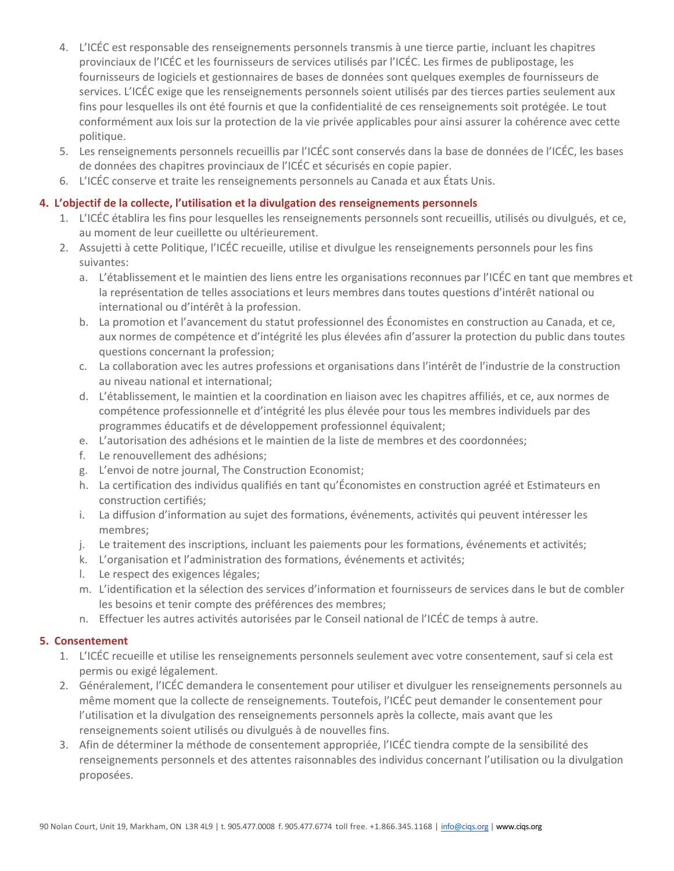- 4. L'ICÉC est responsable des renseignements personnels transmis à une tierce partie, incluant les chapitres provinciaux de l'ICÉC et les fournisseurs de services utilisés par l'ICÉC. Les firmes de publipostage, les fournisseurs de logiciels et gestionnaires de bases de données sont quelques exemples de fournisseurs de services. L'ICÉC exige que les renseignements personnels soient utilisés par des tierces parties seulement aux fins pour lesquelles ils ont été fournis et que la confidentialité de ces renseignements soit protégée. Le tout conformément aux lois sur la protection de la vie privée applicables pour ainsi assurer la cohérence avec cette politique.
- 5. Les renseignements personnels recueillis par l'ICÉC sont conservés dans la base de données de l'ICÉC, les bases de données des chapitres provinciaux de l'ICÉC et sécurisés en copie papier.
- 6. L'ICÉC conserve et traite les renseignements personnels au Canada et aux États Unis.

#### **4. L'objectif de la collecte, l'utilisation et la divulgation des renseignements personnels**

- 1. L'ICÉC établira les fins pour lesquelles les renseignements personnels sont recueillis, utilisés ou divulgués, et ce, au moment de leur cueillette ou ultérieurement.
- 2. Assujetti à cette Politique, l'ICÉC recueille, utilise et divulgue les renseignements personnels pour les fins suivantes:
	- a. L'établissement et le maintien des liens entre les organisations reconnues par l'ICÉC en tant que membres et la représentation de telles associations et leurs membres dans toutes questions d'intérêt national ou international ou d'intérêt à la profession.
	- b. La promotion et l'avancement du statut professionnel des Économistes en construction au Canada, et ce, aux normes de compétence et d'intégrité les plus élevées afin d'assurer la protection du public dans toutes questions concernant la profession;
	- c. La collaboration avec les autres professions et organisations dans l'intérêt de l'industrie de la construction au niveau national et international;
	- d. L'établissement, le maintien et la coordination en liaison avec les chapitres affiliés, et ce, aux normes de compétence professionnelle et d'intégrité les plus élevée pour tous les membres individuels par des programmes éducatifs et de développement professionnel équivalent;
	- e. L'autorisation des adhésions et le maintien de la liste de membres et des coordonnées;
	- f. Le renouvellement des adhésions;
	- g. L'envoi de notre journal, The Construction Economist;
	- h. La certification des individus qualifiés en tant qu'Économistes en construction agréé et Estimateurs en construction certifiés;
	- i. La diffusion d'information au sujet des formations, événements, activités qui peuvent intéresser les membres;
	- j. Le traitement des inscriptions, incluant les paiements pour les formations, événements et activités;
	- k. L'organisation et l'administration des formations, événements et activités;
	- l. Le respect des exigences légales;
	- m. L'identification et la sélection des services d'information et fournisseurs de services dans le but de combler les besoins et tenir compte des préférences des membres;
	- n. Effectuer les autres activités autorisées par le Conseil national de l'ICÉC de temps à autre.

#### **5. Consentement**

- 1. L'ICÉC recueille et utilise les renseignements personnels seulement avec votre consentement, sauf si cela est permis ou exigé légalement.
- 2. Généralement, l'ICÉC demandera le consentement pour utiliser et divulguer les renseignements personnels au même moment que la collecte de renseignements. Toutefois, l'ICÉC peut demander le consentement pour l'utilisation et la divulgation des renseignements personnels après la collecte, mais avant que les renseignements soient utilisés ou divulgués à de nouvelles fins.
- 3. Afin de déterminer la méthode de consentement appropriée, l'ICÉC tiendra compte de la sensibilité des renseignements personnels et des attentes raisonnables des individus concernant l'utilisation ou la divulgation proposées.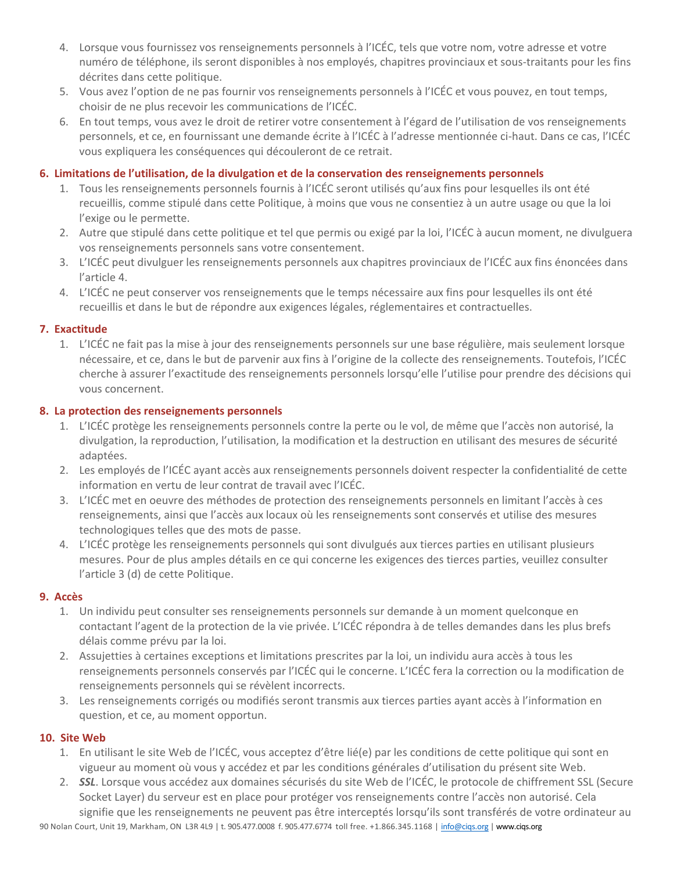- 4. Lorsque vous fournissez vos renseignements personnels à l'ICÉC, tels que votre nom, votre adresse et votre numéro de téléphone, ils seront disponibles à nos employés, chapitres provinciaux et sous-traitants pour les fins décrites dans cette politique.
- 5. Vous avez l'option de ne pas fournir vos renseignements personnels à l'ICÉC et vous pouvez, en tout temps, choisir de ne plus recevoir les communications de l'ICÉC.
- 6. En tout temps, vous avez le droit de retirer votre consentement à l'égard de l'utilisation de vos renseignements personnels, et ce, en fournissant une demande écrite à l'ICÉC à l'adresse mentionnée ci‐haut. Dans ce cas, l'ICÉC vous expliquera les conséquences qui découleront de ce retrait.

#### **6. Limitations de l'utilisation, de la divulgation et de la conservation des renseignements personnels**

- 1. Tous les renseignements personnels fournis à l'ICÉC seront utilisés qu'aux fins pour lesquelles ils ont été recueillis, comme stipulé dans cette Politique, à moins que vous ne consentiez à un autre usage ou que la loi l'exige ou le permette.
- 2. Autre que stipulé dans cette politique et tel que permis ou exigé par la loi, l'ICÉC à aucun moment, ne divulguera vos renseignements personnels sans votre consentement.
- 3. L'ICÉC peut divulguer les renseignements personnels aux chapitres provinciaux de l'ICÉC aux fins énoncées dans l'article 4.
- 4. L'ICÉC ne peut conserver vos renseignements que le temps nécessaire aux fins pour lesquelles ils ont été recueillis et dans le but de répondre aux exigences légales, réglementaires et contractuelles.

#### **7. Exactitude**

1. L'ICÉC ne fait pas la mise à jour des renseignements personnels sur une base régulière, mais seulement lorsque nécessaire, et ce, dans le but de parvenir aux fins à l'origine de la collecte des renseignements. Toutefois, l'ICÉC cherche à assurer l'exactitude des renseignements personnels lorsqu'elle l'utilise pour prendre des décisions qui vous concernent.

#### **8. La protection des renseignements personnels**

- 1. L'ICÉC protège les renseignements personnels contre la perte ou le vol, de même que l'accès non autorisé, la divulgation, la reproduction, l'utilisation, la modification et la destruction en utilisant des mesures de sécurité adaptées.
- 2. Les employés de l'ICÉC ayant accès aux renseignements personnels doivent respecter la confidentialité de cette information en vertu de leur contrat de travail avec l'ICÉC.
- 3. L'ICÉC met en oeuvre des méthodes de protection des renseignements personnels en limitant l'accès à ces renseignements, ainsi que l'accès aux locaux où les renseignements sont conservés et utilise des mesures technologiques telles que des mots de passe.
- 4. L'ICÉC protège les renseignements personnels qui sont divulgués aux tierces parties en utilisant plusieurs mesures. Pour de plus amples détails en ce qui concerne les exigences des tierces parties, veuillez consulter l'article 3 (d) de cette Politique.

#### **9. Accès**

- 1. Un individu peut consulter ses renseignements personnels sur demande à un moment quelconque en contactant l'agent de la protection de la vie privée. L'ICÉC répondra à de telles demandes dans les plus brefs délais comme prévu par la loi.
- 2. Assujetties à certaines exceptions et limitations prescrites par la loi, un individu aura accès à tous les renseignements personnels conservés par l'ICÉC qui le concerne. L'ICÉC fera la correction ou la modification de renseignements personnels qui se révèlent incorrects.
- 3. Les renseignements corrigés ou modifiés seront transmis aux tierces parties ayant accès à l'information en question, et ce, au moment opportun.

#### **10. Site Web**

- 1. En utilisant le site Web de l'ICÉC, vous acceptez d'être lié(e) par les conditions de cette politique qui sont en vigueur au moment où vous y accédez et par les conditions générales d'utilisation du présent site Web.
- 2. *SSL*. Lorsque vous accédez aux domaines sécurisés du site Web de l'ICÉC, le protocole de chiffrement SSL (Secure Socket Layer) du serveur est en place pour protéger vos renseignements contre l'accès non autorisé. Cela signifie que les renseignements ne peuvent pas être interceptés lorsqu'ils sont transférés de votre ordinateur au

90 Nolan Court, Unit 19, Markham, ON L3R 4L9 | t. 905.477.0008 f. 905.477.6774 toll free. +1.866.345.1168 | info@ciqs.org | www.ciqs.org